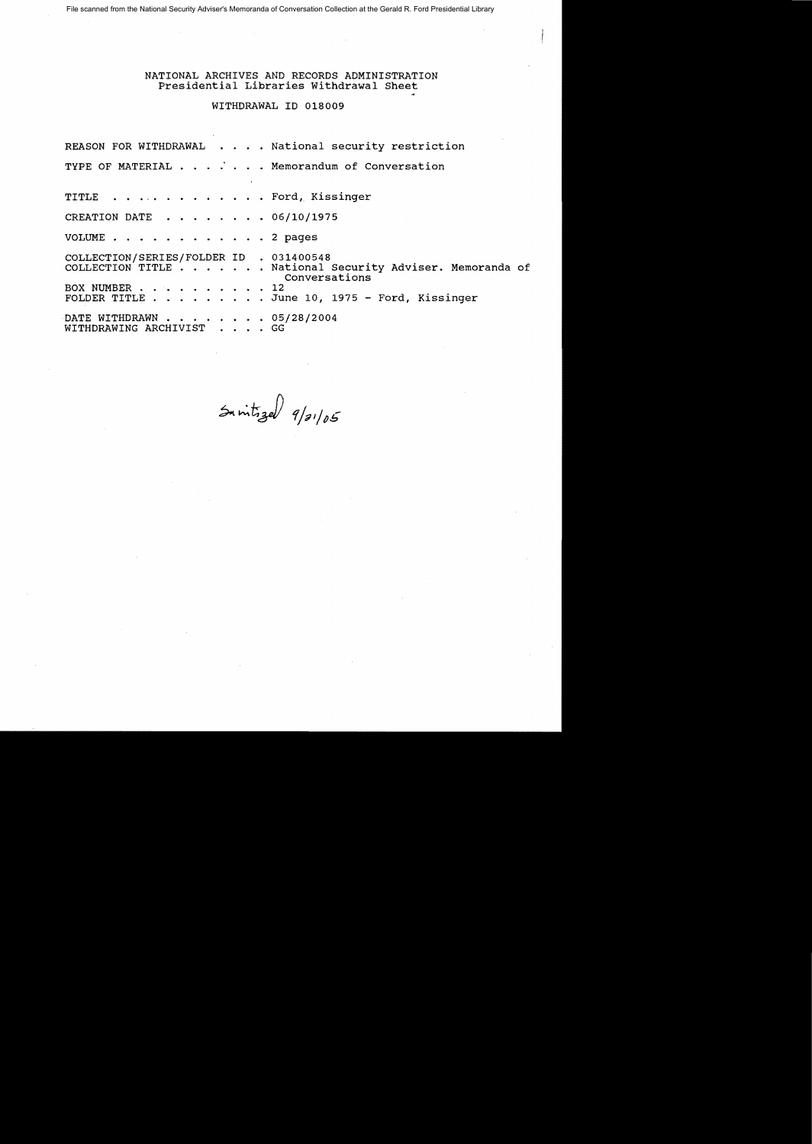File scanned from the National Security Adviser's Memoranda of Conversation Collection at the Gerald R. Ford Presidential Library

## NATIONAL ARCHIVES AND RECORDS ADMINISTRATION Presidential Libraries withdrawal Sheet

WITHDRAWAL ID 018009

REASON FOR WITHDRAWAL . . . . National security restriction TYPE OF MATERIAL  $\cdots$  . . . . Memorandum of Conversation TITLE . . . . . . . . . . . . Ford, Kissinger CREATION DATE  $\cdot \cdot \cdot \cdot \cdot \cdot \cdot 06/10/1975$ VOLUME . . . . . . . . . . . . 2 pages COLLECTION/SERIES/FOLDER ID . 031400548 COLLECTION TITLE . . . . . . . National Security Adviser. Memoranda of Conversations<br>12 BOX NUMBER . . . . . . . . . . 12 Ford, Kissinger ...... June 10, 1975 - Ford, Kissinger DATE WITHDRAWN . . . . . . . . 05/28/2004<br>WITHDRAWING ARCHIVIST . . . . GG WITHDRAWING ARCHIVIST

 $sin\,pi$   $\frac{1}{2}$   $\frac{1}{2}$   $\frac{1}{2}$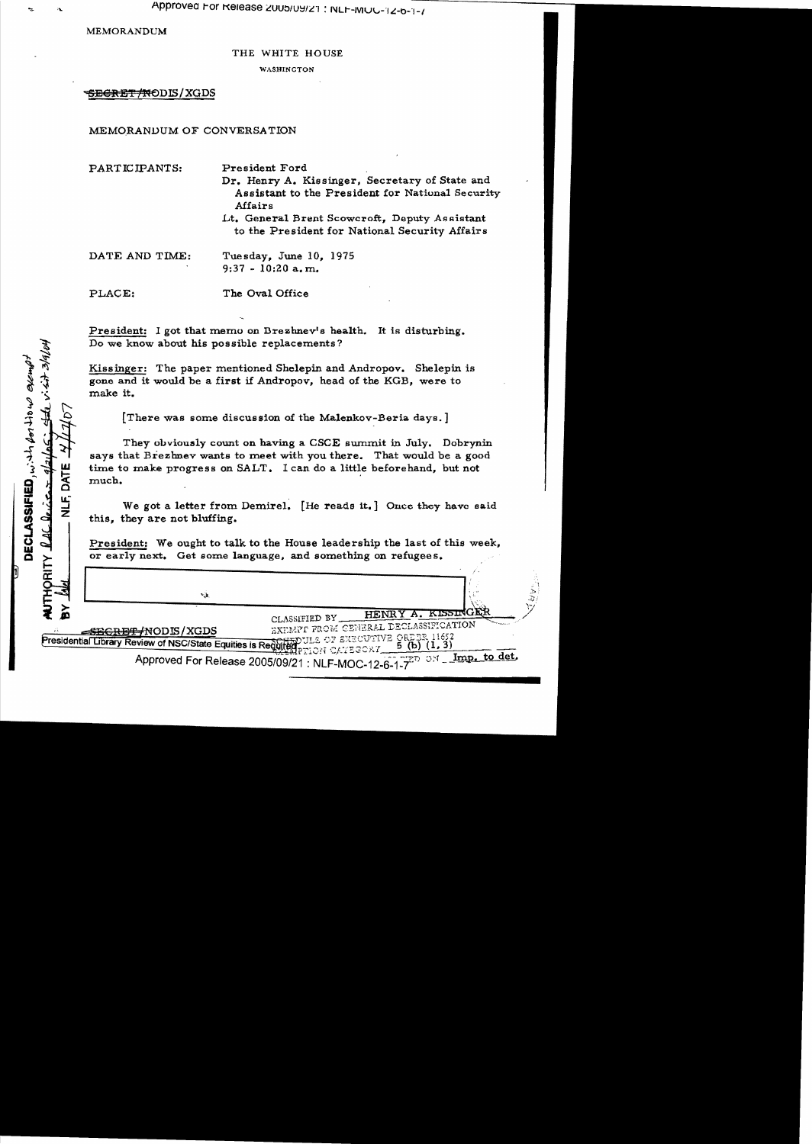MEMORANDUM

出 いぶせ

DECLASSIFIED, with for the we exempt

**TYQ** 

NLF,

**HORITY** 

THE WHITE HOUSE

WASHINGTON

# <del>SECRET/NO</del>DIS/XGDS

# MEMORANDUM OF CONVERSATION

| PARTICIPANTS:  | President Ford<br>Dr. Henry A. Kissinger, Secretary of State and<br>Assistant to the President for National Security<br>Affairs<br>Lt. General Brent Scowcroft, Deputy Assistant<br>to the President for National Security Affairs |
|----------------|------------------------------------------------------------------------------------------------------------------------------------------------------------------------------------------------------------------------------------|
| DATE AND TIME: | Tuesday, June 10, 1975<br>$9:37 - 10:20$ a, m.                                                                                                                                                                                     |
| PLACE:         | The Oval Office                                                                                                                                                                                                                    |

President: I got that memo on Drezhnev's health. It is disturbing. Do we know about his possible replacements?

Kissinger: The paper mentioned Shelepin and Andropov. Shelepin is gone and it would be a first if Andropov, head of the KGB, were to make it.

[There was some discussion of the Malenkov-Beria days. ]

They obviously count on having a CSCE summit in July. Dobrynin says that Brezhnev wants to meet with you there. That would be a good time to make progress on SALT. I can do a little beforehand, but not much. **The contract of the contract of the contract of the contract of the contract of the contract of the contract of the contract of the contract of the contract of the contract of the contract of the contract of the con** 

We got a letter from Demirel. [He reads it.] Once they have said this, they are not bluffing.

President: We ought to talk to the House leadership the last of this week, or early next. Get some language, and something on refugees.

٠à,

**EEGRET /NODIS / XGDS** 

HENRY A. KISSINGEL CLASSIFIED BY

EXEMPT FROM GENERAL DECLASSIFICATION OF EXECUTIVE ORDER 11652

Presidential Library Review of NSC/State Equities is Regulted 5 (b)  $(1, 3)$ 

ON Imp. to det. Approved For Release 2005/09/21 : NLF-MOC-12-6-1-7 5D.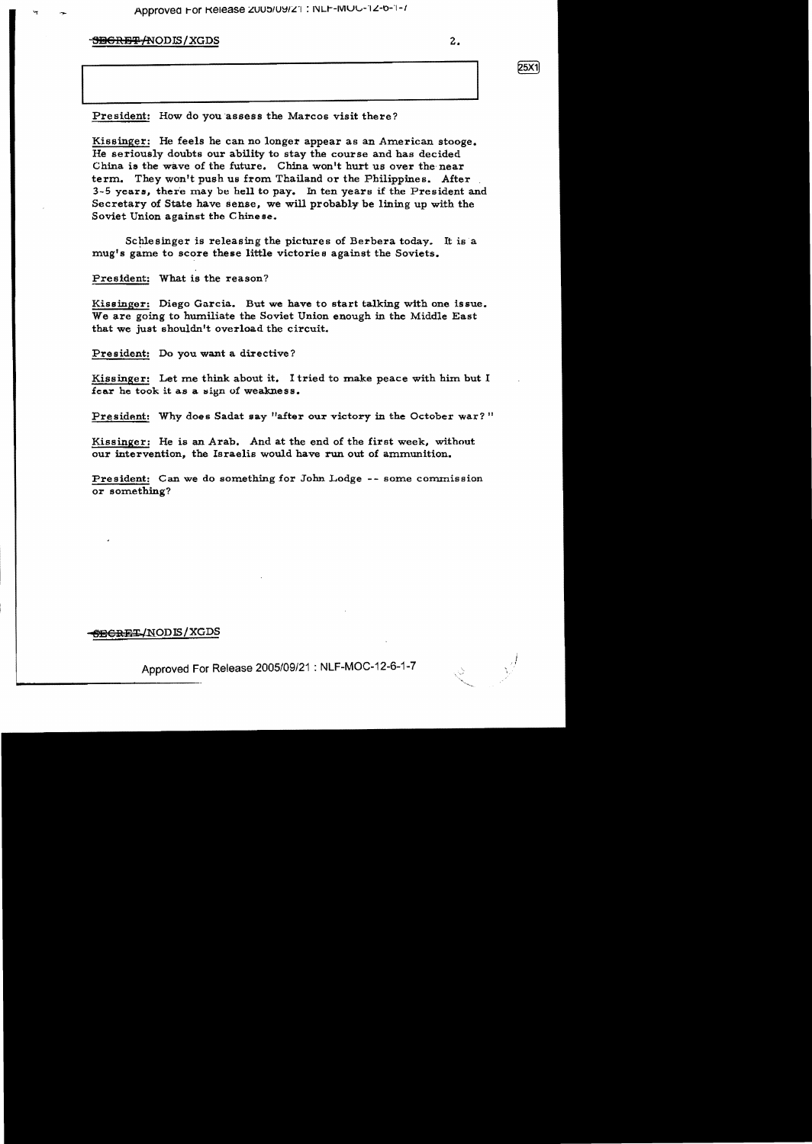### 5<del>BCRET/</del>NODIS/XGDS 2.

25X1

President: How do you assess the Marcos visit there?

Kissinger: He feels he can no longer appear as an American stooge. He seriously doubts our ability to stay the course and has decided China is the wave of the future. China won't hurt us over the near term. They won't push us from Thailand or the Philippines. After 3-5 years, there may be hell to pay. In ten years if the President and Secretary of State have sense, we will probably be lining up with the Soviet Union against the Chinese.

Schlesinger is releasing the pictures of Berbera today. It is a mug's game to score these little victories against the Soviets.

President: What is the reason?

Kissinger: Diego Garcia. But we have to start talking with one issue. We are going to humiliate the Soviet Union enough in the Middle East that we just shouldn't overload the circuit.

President: Do you want a directive?

Kissinger: Let me think about it. I tried to make peace with him but I fear he took it as a sign of weakness.

President: Why does Sadat say "after our victory in the October war?"

Kissinger: He is an Arab. And at the end of the first week, without our intervention, the Israelis would have run out of ammunition.

President: Can we do something for John Lodge -- some commission or something?

#### <del>6ECRET</del>/NODIS/XGDS

Approved For Release 2005/09/21 : NLF-MOC-12-6-1-7